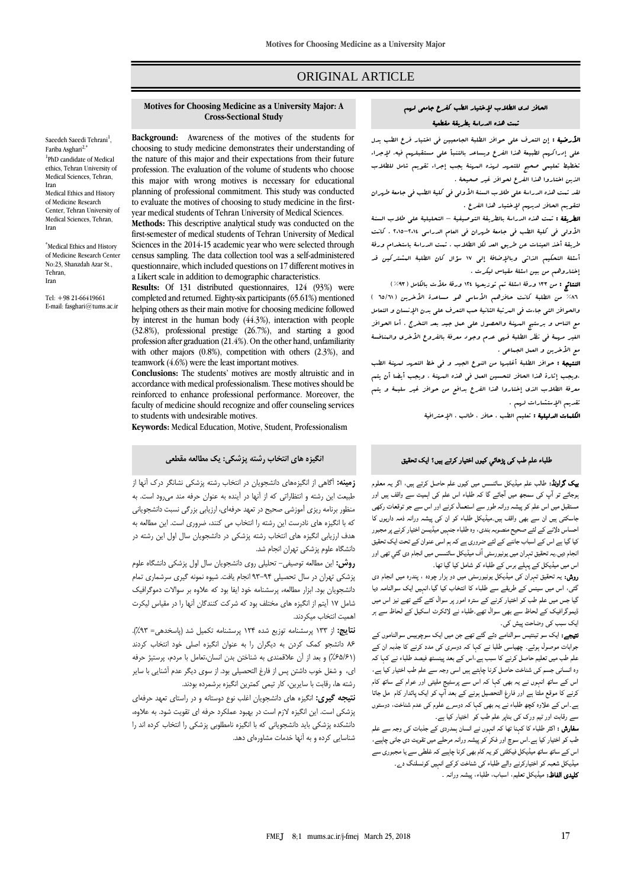# ORIGINAL ARTICLE

#### **Motives for Choosing Medicine as a University Major: A Cross-Sectional Study**

Saeedeh Saeedi Tehrani<sup>1</sup>, Fariba Asghari<sup>2</sup> <sup>1</sup>PhD candidate of Medical ethics, Tehran University of Medical Sciences, Tehran, Iran Medical Ethics and History of Medicine Research Center, Tehran University of Medical Sciences, Tehran, Iran

\*Medical Ethics and History of Medicine Research Center No:23, Shanzdah Azar St., Tehran, Iran

Tel: +98 21-66419661 E-mail[: fasghari@tums.ac.ir](mailto:fasghari@tumsac.ir) **Background:** Awareness of the motives of the students for choosing to study medicine demonstrates their understanding of the nature of this major and their expectations from their future profession. The evaluation of the volume of students who choose this major with wrong motives is necessary for educational planning of professional commitment. This study was conducted to evaluate the motives of choosing to study medicine in the firstyear medical students of Tehran University of Medical Sciences.

**Methods:** This descriptive analytical study was conducted on the first-semester of medical students of Tehran University of Medical Sciences in the 2014-15 academic year who were selected through census sampling. The data collection tool was a self-administered questionnaire, which included questions on 17 different motives in a Likert scale in addition to demographic characteristics.

**Results:** Of 131 distributed questionnaires, 124 (93%) were completed and returned. Eighty-six participants (65.61%) mentioned helping others as their main motive for choosing medicine followed by interest in the human body (44.3%), interaction with people (32.8%), professional prestige (26.7%), and starting a good profession after graduation (21.4%). On the other hand, unfamiliarity with other majors (0.8%), competition with others (2.3%), and teamwork (4.6%) were the least important motives.

**Conclusions:** The students' motives are mostly altruistic and in accordance with medical professionalism. These motives should be reinforced to enhance professional performance. Moreover, the faculty of medicine should recognize and offer counseling services to students with undesirable motives.

**Keywords:** Medical Education, Motive, Student, Professionalism

### **انگیزه های انتخاب رشته پزشکی: یک مطالعه مقطعی**

**زمینه:** آگاهی از انگیزههای دانشجویان در انتخاب رشته پزشکی نشانگر درک آنها از طبیعت این رشته و انتظاراتی که از آنها در آینده به عنوان حرفه مند میرود است. به منظور برنامه ریزی آموزشی صحیح در تعهد حرفهای، ارزیابی بزرگی نسبت دانشجویانی که با انگیزه های نادرست این رشته را انتخاب می کنند، ضروری است. این مطالعه به هدف ارزیابی انگیزه های انتخاب رشته پزشکی در دانشجویان سال اول این رشته در دانشگاه علوم پزشکی تهران انجام شد.

**روش:** این مطالعه توصیفی- تحلیلی روی دانشجویان سال اول پزشکی دانشگاه علوم پزشکی تهران در سال تحصیلی 93-94 انجام یافت. شیوه نمونه گیری سرشماری تمام دانشجویان بود. ابزار مطالعه، پرسشنامه خود ایفا بود که عالوه بر سواالت دموگرافیک شامل 17 آیتم از انگیزه های مختلف بود که شرکت کنندگان آنها را در مقیاس لیکرت اهمیت انتخاب میکردند.

**نتایج:** از 133 پرسشنامه توزیع شده 124 پرسشنامه تکمیل شد )پاسخدهی= %93(. 86 دانشجو کمک کردن به دیگران را به عنوان انگیزه اصلی خود انتخاب کردند )%65/61( و بعد از آن عالقمندی به شناختن بدن انسان،تعامل با مردم، پرستیژ حرفه ای، و شغل خوب داشتن پس از فارغ التحصیلی بود. از سوی دیگر عدم آشنایی با سایر رشته ها، رقابت با سایرین، کار تیمی کمترین انگیزه برشمرده بودند.

**نتیجه گیری:** انگیزه های دانشجویان اغلب نوع دوستانه و در راستای تعهد حرفهای پزشکی است. این انگیزه الزم است در بهبود عملکرد حرفه ای تقویت شود. به عالوه، دانشکده پزشکی باید دانشجویانی که با انگیزه نامطلوبی پزشکی را انتخاب کرده اند را شناسایی کرده و به آنها خدمات مشاورهای دهد.

## الحافز لدى الطالب إلختيار الطب كفرع جامعي لهم تمت هذه الدراسة بطريقة مقطعية

ا**لأرضية :** إن التعرف على حوافز الطلبة الجامعيين في اختيار فرع الطب يدل على إدراكهم لطبيعة هذا الفرع ويساعد بالتنبأ على مستقبلهم فيه. إلجراء تخطيط تعليمي صحيح للتعهد لهذه المهنة يجب إجراء تقويم شامل للطالب الذين اختاروا هذا الفرع لحوافز غير صحيحة .

لقد تمت هذه الدراسة على طالب السنة األولى في كلية الطب في جامعة طهران لتقويم الحافز لديهم إلختيار هذا الفرع .

الطريقة : تمت هذه الدراسة بالطريقة التوصيفية – التحليلية على طالب السنة األولى في كلية الطب في جامعة طهران في العام الدراسي 2015-2014 . كانت طريقة أخذ العينات عن طريق العد لكل الطالب . تمت الدراسة باستخدام ورقة أسئلة التحكيم الذاتي وباإلضافة إلى 17 سؤال كان الطلبة المشتركين قد إختاروهم من بين اسئلة مقياس ليكرت .

النتائج : من ١٣٣ ورقة اسئلة تم توزيعها ١٢٤ ورقة ملأت بالكامل ( ٩٣%) ٨٦٪ من الطلبة كانت حافزهم الأماسي هو مساعدة الأخرين ( ٦٥/٦١ ) والحوافز التي جاءت في المرتبة الثانية حب التعرف على بدن اإلنسان و التعامل مع الناس و برستيج المهنة والحصول على عمل جيد بعد التخرج . أما الحوافز الغير مهبة في نظر الطلبة فر<sub>سى</sub> عدم وجود معرفة بالفروع الأخرى والبنافسة مع الأخرين و العمل الجعاعي .

النتيجة : حوافز الطلبة أغلبها من النوع الجيد و في خط التعهد لمهنة الطب .ويجب إثارة هذا الحافز لتحسين العمل في هذه المهنة . ويجب أيضا أن يتم معرفة الطالب الذي إختاروا هذا الفرع بدافع من حوافز غير سليمة و يتم تقديم اإلستشارات لهم .

الكلمات الدليلية : تعليم الطب ، حافز ، طالب ، اإلحترافية

## طلباء علم طب کی پڑھائي کیوں اختیار کرتے ہیں؟ ایک تحقیق

بیک گراونڈ: طالب علم میڈیکل سائنسس میں کیوں علم حاصل کرتے ہیں، اگر یہ معلوم ہوجائے تو آپ کی سمجھ میں آجائے گا کہ طلباء اس علم کی اہمیت سے واقف ہیں اور مستقبل میں اس علم کو پیشہ ورانہ طور سے استعمال کرنے اور اس سے جو توقعات رکھی جاسکتی ہیں ان سے بھی واقف ہیں۔میڈیکل طلباء کو ان کی پیشہ ورانہ ذمہ داریوں کا احساس دلانے کے لئے صحیح منصوبہ بندی، وہ طلباء جنہیں میڈیسن اختیار کرنے پر مجبور کیا گيا ہے اس کے اسباب جاننے کے لئے ضروری ہے کہ ہم اسی عنوان کے تحت ایک تحقیق نجام دیں۔یہ تحقیق تہران میں یونیورسٹی آف میڈیکل سائنسس میں انجام دی گئی تھی اور اس میں میڈیکل کے پہلے برس کے طلباء کو شامل کیا گيا تھا۔

روش: یہ تحقیق تہران کی میڈیکل یونیورسٹی میں دو ہزار چودہ ، پندرہ میں انجام دی گئی، اس میں سینس کے طریقے سے طلباء کا انتخاب کیا گيا،انہیں ایک سوالنامہ دیا گيا جس میں علم طب کو اختیار کرنے کے سترہ امور پر سوال کئے گئے تھے نیز اس میں ڈیموگرافیک کے لحاظ سے بھی سوال تھے۔طلباء نے لائکرٹ اسکیل کے لحاظ سے ہر ایک سبب کی وضاحت پیش کی۔

نتیجے: ایک سو تینتیس سوالنامے دئے گئے تھے جن میں ایک سوچوبیس سوالناموں کے جوابات موصول ہوئے۔ چھیاسی طلبا نے کہا کہ دوسری کی مدد کرنے کا جذبہ ان کے علم طب میں تعلیم حاصل کرنے کا سبب ہے،اس کے بعد پینسٹھ فیصد طلباء نے کہا کہ وہ انسانی جسم کی شناخت حاصل کرنا چاہتے ہیں اسی وجہ سے علم طب اختیار کیا ہے، اس کے ساتھ انہوں نے یہ بھی کہا کہ اس سے پرسٹیج ملیتی اور عوام کے ساتھ کام کرنے کا موقع ملتا ہے اور فارغ التحصیل ہونے کے بعد آپ کو ایک پائدار کام مل جاتا ہے۔اس کے علاوہ کچھ طلباء نے یہ بھی کہا کہ دوسرے علوم کی عدم شناخت، دوستوں سے رقابت اور ٹیم ورک کی بناپر علم طب کو اختیار کیا ہے۔

سفارش : اکثر طلباء کا کہنا تھا کہ انہوں نے انسان ہمدردی کے جذبات کی وجہ سے علم طب کو اختیار کیا ہے۔اس سوچ اور فکر کو پیشہ ورانہ مرحلے میں تقویت دی جانی چاہیے، اس کے ساتھ ساتھ میڈیکل فیکلٹی کو یہ کام بھی کرنا چاہیے کہ غلطی سے یا مجبوری سے میڈیکل شعبہ کو اختیارکرنے والے طلباء کی شناخت کرکے انہیں کونسلنگ دے۔ کلیدی الفاظ: میڈیکل تعلیم، اسباب، طلباء، پیشہ ورانہ ۔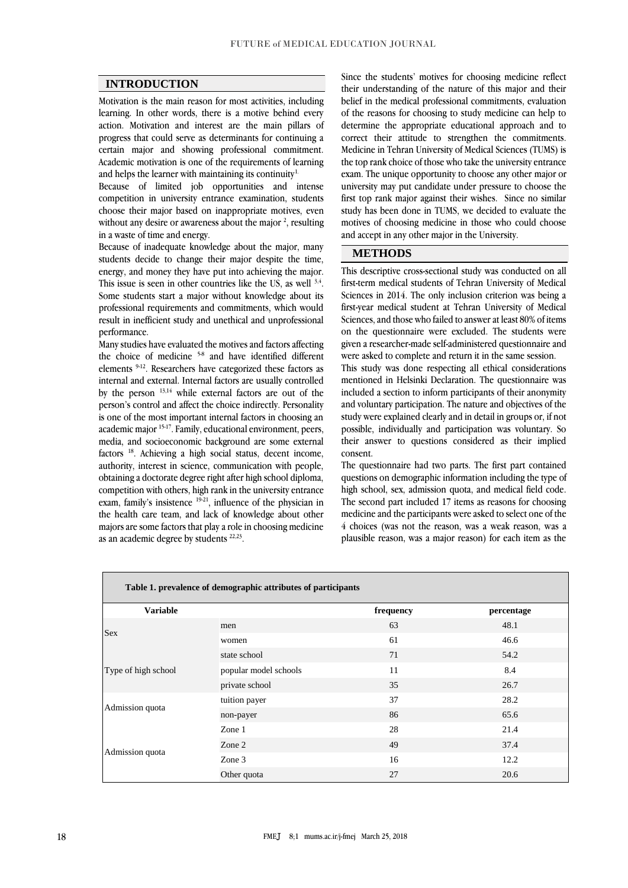#### **INTRODUCTION**

Motivation is the main reason for most activities, including learning. In other words, there is a motive behind every action. Motivation and interest are the main pillars of progress that could serve as determinants for continuing a certain major and showing professional commitment. Academic motivation is one of the requirements of learning and helps the learner with maintaining its continuity<sup>1.</sup>

Because of limited job opportunities and intense competition in university entrance examination, students choose their major based on inappropriate motives, even without any desire or awareness about the major  $2$ , resulting in a waste of time and energy.

Because of inadequate knowledge about the major, many students decide to change their major despite the time, energy, and money they have put into achieving the major. This issue is seen in other countries like the US, as well  $3,4$ . Some students start a major without knowledge about its professional requirements and commitments, which would result in inefficient study and unethical and unprofessional performance.

Many studies have evaluated the motives and factors affecting the choice of medicine <sup>5-8</sup> and have identified different elements 9-12. Researchers have categorized these factors as internal and external. Internal factors are usually controlled by the person 13,14 while external factors are out of the person's control and affect the choice indirectly. Personality is one of the most important internal factors in choosing an academic major 15-17. Family, educational environment, peers, media, and socioeconomic background are some external factors <sup>18</sup>. Achieving a high social status, decent income, authority, interest in science, communication with people, obtaining a doctorate degree right after high school diploma, competition with others, high rank in the university entrance exam, family's insistence  $19-21$ , influence of the physician in the health care team, and lack of knowledge about other majors are some factors that play a role in choosing medicine as an academic degree by students  $22,23$ .

Since the students' motives for choosing medicine reflect their understanding of the nature of this major and their belief in the medical professional commitments, evaluation of the reasons for choosing to study medicine can help to determine the appropriate educational approach and to correct their attitude to strengthen the commitments. Medicine in Tehran University of Medical Sciences (TUMS) is the top rank choice of those who take the university entrance exam. The unique opportunity to choose any other major or university may put candidate under pressure to choose the first top rank major against their wishes. Since no similar study has been done in TUMS, we decided to evaluate the motives of choosing medicine in those who could choose and accept in any other major in the University.

#### **METHODS**

This descriptive cross-sectional study was conducted on all first-term medical students of Tehran University of Medical Sciences in 2014. The only inclusion criterion was being a first-year medical student at Tehran University of Medical Sciences, and those who failed to answer at least 80% of items on the questionnaire were excluded. The students were given a researcher-made self-administered questionnaire and were asked to complete and return it in the same session.

This study was done respecting all ethical considerations mentioned in Helsinki Declaration. The questionnaire was included a section to inform participants of their anonymity and voluntary participation. The nature and objectives of the study were explained clearly and in detail in groups or, if not possible, individually and participation was voluntary. So their answer to questions considered as their implied consent.

The questionnaire had two parts. The first part contained questions on demographic information including the type of high school, sex, admission quota, and medical field code. The second part included 17 items as reasons for choosing medicine and the participants were asked to select one of the 4 choices (was not the reason, was a weak reason, was a plausible reason, was a major reason) for each item as the

| Table 1. prevalence of demographic attributes of participants |                       |           |            |  |  |  |  |
|---------------------------------------------------------------|-----------------------|-----------|------------|--|--|--|--|
| <b>Variable</b>                                               |                       | frequency | percentage |  |  |  |  |
| <b>Sex</b>                                                    | men                   | 63        | 48.1       |  |  |  |  |
|                                                               | women                 | 61        | 46.6       |  |  |  |  |
| Type of high school                                           | state school          | 71        | 54.2       |  |  |  |  |
|                                                               | popular model schools | 11        | 8.4        |  |  |  |  |
|                                                               | private school        | 35        | 26.7       |  |  |  |  |
| Admission quota                                               | tuition payer         | 37        | 28.2       |  |  |  |  |
|                                                               | non-payer             | 86        | 65.6       |  |  |  |  |
| Admission quota                                               | Zone 1                | 28        | 21.4       |  |  |  |  |
|                                                               | Zone 2                | 49        | 37.4       |  |  |  |  |
|                                                               | Zone 3                | 16        | 12.2       |  |  |  |  |
|                                                               | Other quota           | 27        | 20.6       |  |  |  |  |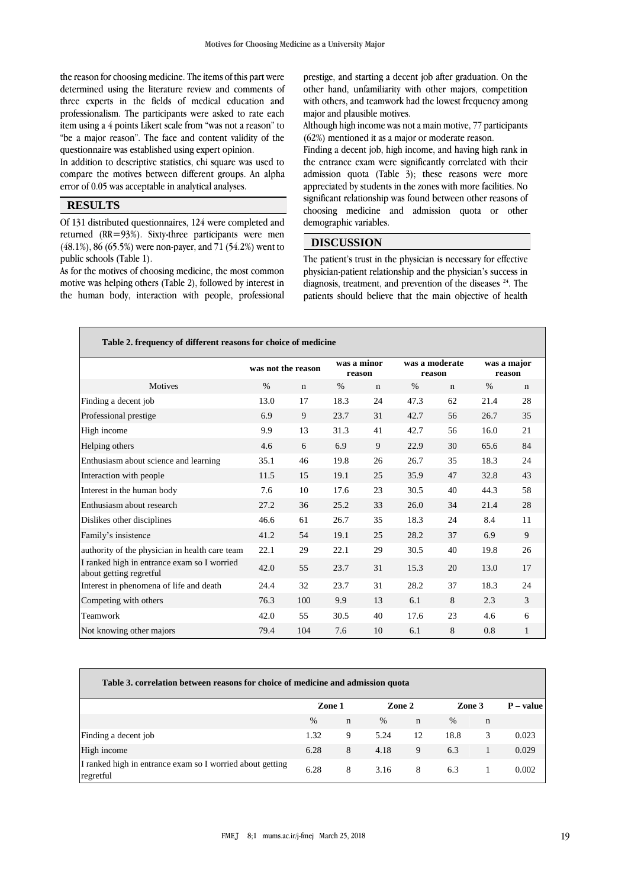the reason for choosing medicine. The items of this part were determined using the literature review and comments of three experts in the fields of medical education and professionalism. The participants were asked to rate each item using a 4 points Likert scale from "was not a reason" to "be a major reason". The face and content validity of the questionnaire was established using expert opinion.

In addition to descriptive statistics, chi square was used to compare the motives between different groups. An alpha error of 0.05 was acceptable in analytical analyses.

# **RESULTS**

Of 131 distributed questionnaires, 124 were completed and returned (RR=93%). Sixty-three participants were men (48.1%), 86 (65.5%) were non-payer, and 71 (54.2%) went to public schools (Table 1).

As for the motives of choosing medicine, the most common motive was helping others (Table 2), followed by interest in the human body, interaction with people, professional

prestige, and starting a decent job after graduation. On the other hand, unfamiliarity with other majors, competition with others, and teamwork had the lowest frequency among major and plausible motives.

Although high income was not a main motive, 77 participants (62%) mentioned it as a major or moderate reason.

Finding a decent job, high income, and having high rank in the entrance exam were significantly correlated with their admission quota (Table 3); these reasons were more appreciated by students in the zones with more facilities. No significant relationship was found between other reasons of choosing medicine and admission quota or other demographic variables.

### **DISCUSSION**

The patient's trust in the physician is necessary for effective physician-patient relationship and the physician's success in diagnosis, treatment, and prevention of the diseases  $24$ . The patients should believe that the main objective of health

| Table 2. frequency of different reasons for choice of medicine         |                    |             |                       |             |                          |             |                       |             |  |
|------------------------------------------------------------------------|--------------------|-------------|-----------------------|-------------|--------------------------|-------------|-----------------------|-------------|--|
|                                                                        | was not the reason |             | was a minor<br>reason |             | was a moderate<br>reason |             | was a major<br>reason |             |  |
| Motives                                                                | $\%$               | $\mathbf n$ | $\%$                  | $\mathbf n$ | $\%$                     | $\mathbf n$ | $\%$                  | $\mathbf n$ |  |
| Finding a decent job                                                   | 13.0               | 17          | 18.3                  | 24          | 47.3                     | 62          | 21.4                  | 28          |  |
| Professional prestige                                                  | 6.9                | 9           | 23.7                  | 31          | 42.7                     | 56          | 26.7                  | 35          |  |
| High income                                                            | 9.9                | 13          | 31.3                  | 41          | 42.7                     | 56          | 16.0                  | 21          |  |
| Helping others                                                         | 4.6                | 6           | 6.9                   | 9           | 22.9                     | 30          | 65.6                  | 84          |  |
| Enthusiasm about science and learning                                  | 35.1               | 46          | 19.8                  | 26          | 26.7                     | 35          | 18.3                  | 24          |  |
| Interaction with people                                                | 11.5               | 15          | 19.1                  | 25          | 35.9                     | 47          | 32.8                  | 43          |  |
| Interest in the human body                                             | 7.6                | 10          | 17.6                  | 23          | 30.5                     | 40          | 44.3                  | 58          |  |
| Enthusiasm about research                                              | 27.2               | 36          | 25.2                  | 33          | 26.0                     | 34          | 21.4                  | 28          |  |
| Dislikes other disciplines                                             | 46.6               | 61          | 26.7                  | 35          | 18.3                     | 24          | 8.4                   | 11          |  |
| Family's insistence                                                    | 41.2               | 54          | 19.1                  | 25          | 28.2                     | 37          | 6.9                   | 9           |  |
| authority of the physician in health care team                         | 22.1               | 29          | 22.1                  | 29          | 30.5                     | 40          | 19.8                  | 26          |  |
| I ranked high in entrance exam so I worried<br>about getting regretful | 42.0               | 55          | 23.7                  | 31          | 15.3                     | 20          | 13.0                  | 17          |  |
| Interest in phenomena of life and death                                | 24.4               | 32          | 23.7                  | 31          | 28.2                     | 37          | 18.3                  | 24          |  |
| Competing with others                                                  | 76.3               | 100         | 9.9                   | 13          | 6.1                      | 8           | 2.3                   | 3           |  |
| Teamwork                                                               | 42.0               | 55          | 30.5                  | 40          | 17.6                     | 23          | 4.6                   | 6           |  |
| Not knowing other majors                                               | 79.4               | 104         | 7.6                   | 10          | 6.1                      | 8           | 0.8                   | 1           |  |

| Table 3. correlation between reasons for choice of medicine and admission quota |        |   |        |             |        |             |             |  |
|---------------------------------------------------------------------------------|--------|---|--------|-------------|--------|-------------|-------------|--|
|                                                                                 | Zone 1 |   | Zone 2 |             | Zone 3 |             | $P - value$ |  |
|                                                                                 | $\%$   | n | $\%$   | $\mathbf n$ | $\%$   | $\mathbf n$ |             |  |
| Finding a decent job                                                            | 1.32   | 9 | 5.24   | 12          | 18.8   | 3           | 0.023       |  |
| High income                                                                     | 6.28   | 8 | 4.18   | 9           | 6.3    |             | 0.029       |  |
| I ranked high in entrance exam so I worried about getting<br>regretful          | 6.28   | 8 | 3.16   | 8           | 6.3    |             | 0.002       |  |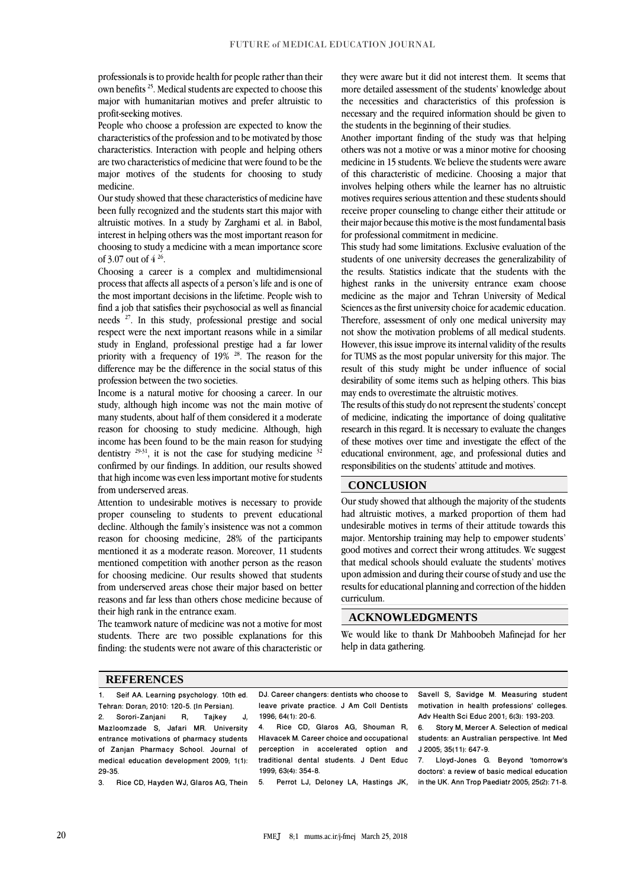professionals is to provide health for people rather than their own benefits <sup>25</sup>. Medical students are expected to choose this major with humanitarian motives and prefer altruistic to profit-seeking motives.

People who choose a profession are expected to know the characteristics of the profession and to be motivated by those characteristics. Interaction with people and helping others are two characteristics of medicine that were found to be the major motives of the students for choosing to study medicine.

Our study showed that these characteristics of medicine have been fully recognized and the students start this major with altruistic motives. In a study by Zarghami et al. in Babol, interest in helping others was the most important reason for choosing to study a medicine with a mean importance score of 3.07 out of  $4^{26}$ .

Choosing a career is a complex and multidimensional process that affects all aspects of a person's life and is one of the most important decisions in the lifetime. People wish to find a job that satisfies their psychosocial as well as financial needs <sup>27</sup>. In this study, professional prestige and social respect were the next important reasons while in a similar study in England, professional prestige had a far lower priority with a frequency of 19% <sup>28</sup>. The reason for the difference may be the difference in the social status of this profession between the two societies.

Income is a natural motive for choosing a career. In our study, although high income was not the main motive of many students, about half of them considered it a moderate reason for choosing to study medicine. Although, high income has been found to be the main reason for studying dentistry  $29-31$ , it is not the case for studying medicine  $32$ confirmed by our findings. In addition, our results showed that high income was even less important motive for students from underserved areas.

Attention to undesirable motives is necessary to provide proper counseling to students to prevent educational decline. Although the family's insistence was not a common reason for choosing medicine, 28% of the participants mentioned it as a moderate reason. Moreover, 11 students mentioned competition with another person as the reason for choosing medicine. Our results showed that students from underserved areas chose their major based on better reasons and far less than others chose medicine because of their high rank in the entrance exam.

The teamwork nature of medicine was not a motive for most students. There are two possible explanations for this finding: the students were not aware of this characteristic or

they were aware but it did not interest them. It seems that more detailed assessment of the students' knowledge about the necessities and characteristics of this profession is necessary and the required information should be given to the students in the beginning of their studies.

Another important finding of the study was that helping others was not a motive or was a minor motive for choosing medicine in 15 students. We believe the students were aware of this characteristic of medicine. Choosing a major that involves helping others while the learner has no altruistic motives requires serious attention and these students should receive proper counseling to change either their attitude or their major because this motive is the most fundamental basis for professional commitment in medicine.

This study had some limitations. Exclusive evaluation of the students of one university decreases the generalizability of the results. Statistics indicate that the students with the highest ranks in the university entrance exam choose medicine as the major and Tehran University of Medical Sciences as the first university choice for academic education. Therefore, assessment of only one medical university may not show the motivation problems of all medical students. However, this issue improve its internal validity of the results for TUMS as the most popular university for this major. The result of this study might be under influence of social desirability of some items such as helping others. This bias may ends to overestimate the altruistic motives.

The results of this study do not represent the students' concept of medicine, indicating the importance of doing qualitative research in this regard. It is necessary to evaluate the changes of these motives over time and investigate the effect of the educational environment, age, and professional duties and responsibilities on the students' attitude and motives.

### **CONCLUSION**

Our study showed that although the majority of the students had altruistic motives, a marked proportion of them had undesirable motives in terms of their attitude towards this major. Mentorship training may help to empower students' good motives and correct their wrong attitudes. We suggest that medical schools should evaluate the students' motives upon admission and during their course of study and use the results for educational planning and correction of the hidden curriculum.

#### **ACKNOWLEDGMENTS**

We would like to thank Dr Mahboobeh Mafinejad for her help in data gathering.

#### **REFERENCES**

1. Seif AA. Learning psychology. 10th ed. Tehran: Doran; 2010: 120-5. [In Persian]. 2. Sorori-Zanjani R, Tajkey J, Mazloomzade S, Jafari MR. University entrance motivations of pharmacy students of Zanjan Pharmacy School. Journal of medical education development 2009; 1(1):  $29-35.$ 

3. Rice CD, Hayden WJ, Glaros AG, Thein

DJ. Career changers: dentists who choose to leave private practice. J Am Coll Dentists 1996; 64(1): 20-6.

4. Rice CD, Glaros AG, Shouman R, Hlavacek M. Careerchoice and occupational perception in accelerated option and traditional dental students. J Dent Educ 1999; 63(4): 354-8.

5. Perrot LJ, Deloney LA, Hastings JK,

Savell S, Savidge M. Measuring student motivation in health professions' colleges. Adv Health Sci Educ 2001; 6(3): 193-203.<br>6 Story M. Mercer A. Selection of med

Story M, Mercer A. Selection of medical students: an Australian perspective. Int Med J 2005; 35(11): 647-9.

7. Lloyd-Jones G. Beyond 'tomorrow's doctors': a review of basic medical education in the UK. Ann Trop Paediatr 2005; 25(2): 71-8.